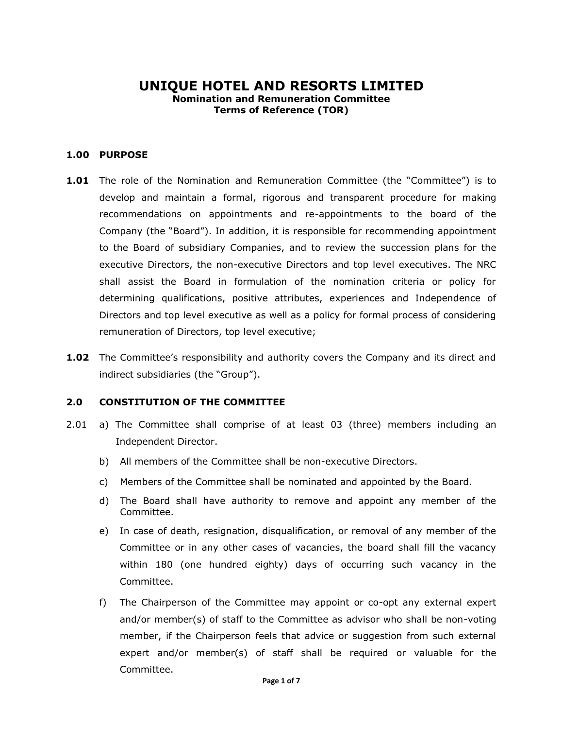# **UNIQUE HOTEL AND RESORTS LIMITED Nomination and Remuneration Committee Terms of Reference (TOR)**

### **1.00 PURPOSE**

- **1.01** The role of the Nomination and Remuneration Committee (the "Committee") is to develop and maintain a formal, rigorous and transparent procedure for making recommendations on appointments and re-appointments to the board of the Company (the "Board"). In addition, it is responsible for recommending appointment to the Board of subsidiary Companies, and to review the succession plans for the executive Directors, the non-executive Directors and top level executives. The NRC shall assist the Board in formulation of the nomination criteria or policy for determining qualifications, positive attributes, experiences and Independence of Directors and top level executive as well as a policy for formal process of considering remuneration of Directors, top level executive;
- **1.02** The Committee's responsibility and authority covers the Company and its direct and indirect subsidiaries (the "Group").

### **2.0 CONSTITUTION OF THE COMMITTEE**

- 2.01 a) The Committee shall comprise of at least 03 (three) members including an Independent Director.
	- b) All members of the Committee shall be non-executive Directors.
	- c) Members of the Committee shall be nominated and appointed by the Board.
	- d) The Board shall have authority to remove and appoint any member of the Committee.
	- e) In case of death, resignation, disqualification, or removal of any member of the Committee or in any other cases of vacancies, the board shall fill the vacancy within 180 (one hundred eighty) days of occurring such vacancy in the Committee.
	- f) The Chairperson of the Committee may appoint or co-opt any external expert and/or member(s) of staff to the Committee as advisor who shall be non-voting member, if the Chairperson feels that advice or suggestion from such external expert and/or member(s) of staff shall be required or valuable for the Committee.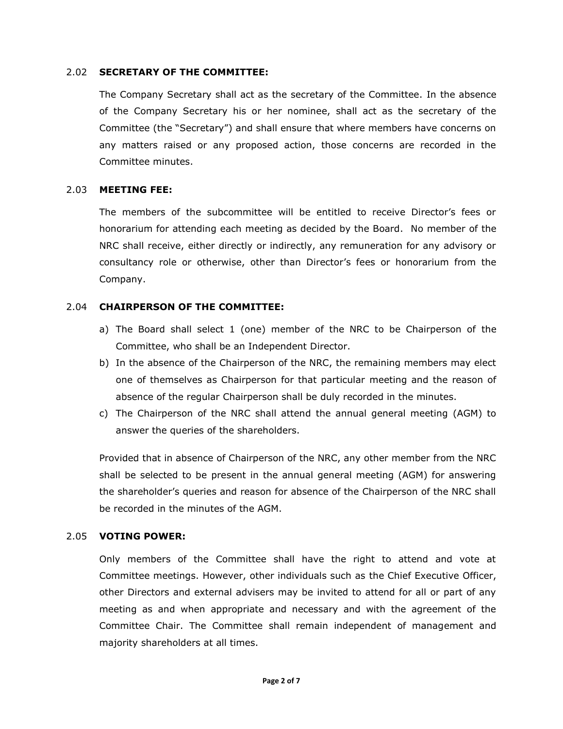### 2.02 **SECRETARY OF THE COMMITTEE:**

The Company Secretary shall act as the secretary of the Committee. In the absence of the Company Secretary his or her nominee, shall act as the secretary of the Committee (the "Secretary") and shall ensure that where members have concerns on any matters raised or any proposed action, those concerns are recorded in the Committee minutes.

#### 2.03 **MEETING FEE:**

The members of the subcommittee will be entitled to receive Director's fees or honorarium for attending each meeting as decided by the Board. No member of the NRC shall receive, either directly or indirectly, any remuneration for any advisory or consultancy role or otherwise, other than Director's fees or honorarium from the Company.

### 2.04 **CHAIRPERSON OF THE COMMITTEE:**

- a) The Board shall select 1 (one) member of the NRC to be Chairperson of the Committee, who shall be an Independent Director.
- b) In the absence of the Chairperson of the NRC, the remaining members may elect one of themselves as Chairperson for that particular meeting and the reason of absence of the regular Chairperson shall be duly recorded in the minutes.
- c) The Chairperson of the NRC shall attend the annual general meeting (AGM) to answer the queries of the shareholders.

Provided that in absence of Chairperson of the NRC, any other member from the NRC shall be selected to be present in the annual general meeting (AGM) for answering the shareholder's queries and reason for absence of the Chairperson of the NRC shall be recorded in the minutes of the AGM.

### 2.05 **VOTING POWER:**

Only members of the Committee shall have the right to attend and vote at Committee meetings. However, other individuals such as the Chief Executive Officer, other Directors and external advisers may be invited to attend for all or part of any meeting as and when appropriate and necessary and with the agreement of the Committee Chair. The Committee shall remain independent of management and majority shareholders at all times.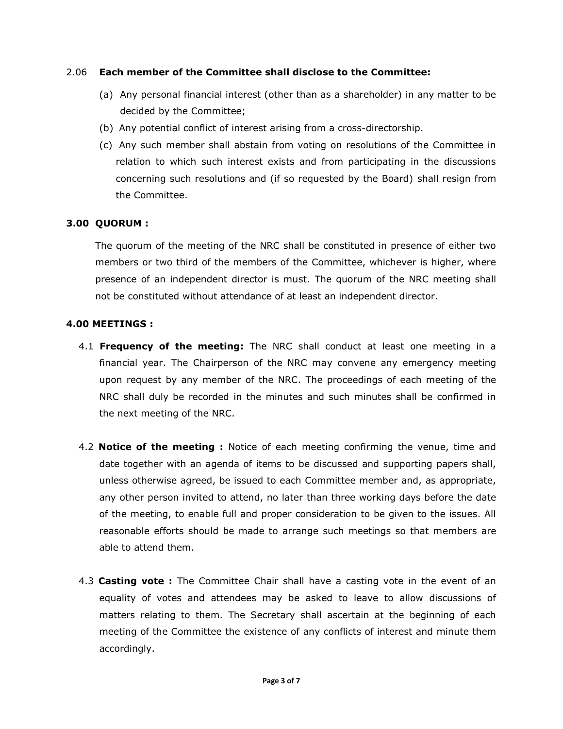### 2.06 **Each member of the Committee shall disclose to the Committee:**

- (a) Any personal financial interest (other than as a shareholder) in any matter to be decided by the Committee;
- (b) Any potential conflict of interest arising from a cross-directorship.
- (c) Any such member shall abstain from voting on resolutions of the Committee in relation to which such interest exists and from participating in the discussions concerning such resolutions and (if so requested by the Board) shall resign from the Committee.

# **3.00 QUORUM :**

The quorum of the meeting of the NRC shall be constituted in presence of either two members or two third of the members of the Committee, whichever is higher, where presence of an independent director is must. The quorum of the NRC meeting shall not be constituted without attendance of at least an independent director.

### **4.00 MEETINGS :**

- 4.1 **Frequency of the meeting:** The NRC shall conduct at least one meeting in a financial year. The Chairperson of the NRC may convene any emergency meeting upon request by any member of the NRC. The proceedings of each meeting of the NRC shall duly be recorded in the minutes and such minutes shall be confirmed in the next meeting of the NRC.
- 4.2 **Notice of the meeting :** Notice of each meeting confirming the venue, time and date together with an agenda of items to be discussed and supporting papers shall, unless otherwise agreed, be issued to each Committee member and, as appropriate, any other person invited to attend, no later than three working days before the date of the meeting, to enable full and proper consideration to be given to the issues. All reasonable efforts should be made to arrange such meetings so that members are able to attend them.
- 4.3 **Casting vote :** The Committee Chair shall have a casting vote in the event of an equality of votes and attendees may be asked to leave to allow discussions of matters relating to them. The Secretary shall ascertain at the beginning of each meeting of the Committee the existence of any conflicts of interest and minute them accordingly.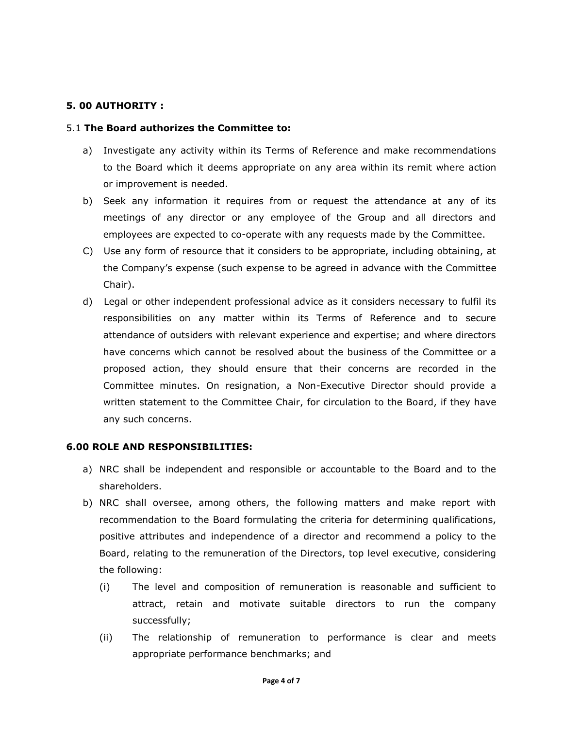# **5. 00 AUTHORITY :**

#### 5.1 **The Board authorizes the Committee to:**

- a) Investigate any activity within its Terms of Reference and make recommendations to the Board which it deems appropriate on any area within its remit where action or improvement is needed.
- b) Seek any information it requires from or request the attendance at any of its meetings of any director or any employee of the Group and all directors and employees are expected to co-operate with any requests made by the Committee.
- C)Use any form of resource that it considers to be appropriate, including obtaining, at the Company's expense (such expense to be agreed in advance with the Committee Chair).
- d)Legal or other independent professional advice as it considers necessary to fulfil its responsibilities on any matter within its Terms of Reference and to secure attendance of outsiders with relevant experience and expertise; and where directors have concerns which cannot be resolved about the business of the Committee or a proposed action, they should ensure that their concerns are recorded in the Committee minutes. On resignation, a Non-Executive Director should provide a written statement to the Committee Chair, for circulation to the Board, if they have any such concerns.

#### **6.00 ROLE AND RESPONSIBILITIES:**

- a) NRC shall be independent and responsible or accountable to the Board and to the shareholders.
- b) NRC shall oversee, among others, the following matters and make report with recommendation to the Board formulating the criteria for determining qualifications, positive attributes and independence of a director and recommend a policy to the Board, relating to the remuneration of the Directors, top level executive, considering the following:
	- (i) The level and composition of remuneration is reasonable and sufficient to attract, retain and motivate suitable directors to run the company successfully;
	- (ii) The relationship of remuneration to performance is clear and meets appropriate performance benchmarks; and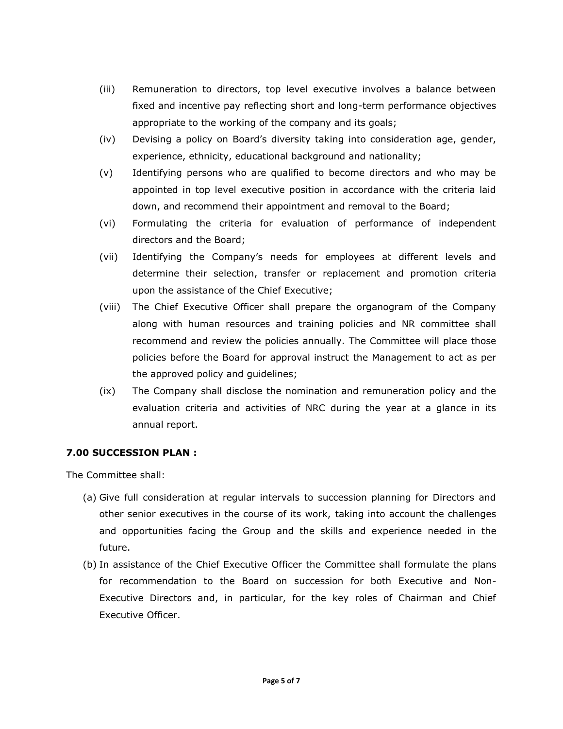- (iii) Remuneration to directors, top level executive involves a balance between fixed and incentive pay reflecting short and long-term performance objectives appropriate to the working of the company and its goals;
- (iv) Devising a policy on Board's diversity taking into consideration age, gender, experience, ethnicity, educational background and nationality;
- (v) Identifying persons who are qualified to become directors and who may be appointed in top level executive position in accordance with the criteria laid down, and recommend their appointment and removal to the Board;
- (vi) Formulating the criteria for evaluation of performance of independent directors and the Board;
- (vii) Identifying the Company's needs for employees at different levels and determine their selection, transfer or replacement and promotion criteria upon the assistance of the Chief Executive;
- (viii) The Chief Executive Officer shall prepare the organogram of the Company along with human resources and training policies and NR committee shall recommend and review the policies annually. The Committee will place those policies before the Board for approval instruct the Management to act as per the approved policy and guidelines;
- (ix) The Company shall disclose the nomination and remuneration policy and the evaluation criteria and activities of NRC during the year at a glance in its annual report.

# **7.00 SUCCESSION PLAN :**

The Committee shall:

- (a) Give full consideration at regular intervals to succession planning for Directors and other senior executives in the course of its work, taking into account the challenges and opportunities facing the Group and the skills and experience needed in the future.
- (b) In assistance of the Chief Executive Officer the Committee shall formulate the plans for recommendation to the Board on succession for both Executive and Non-Executive Directors and, in particular, for the key roles of Chairman and Chief Executive Officer.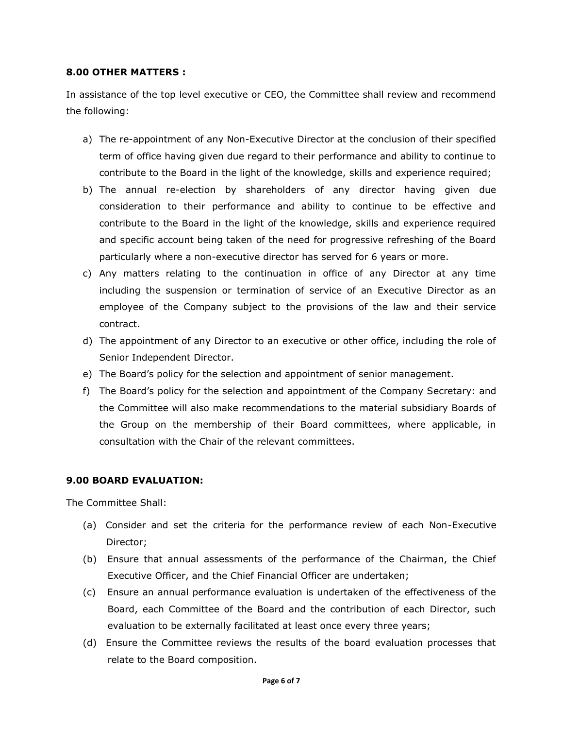### **8.00 OTHER MATTERS :**

In assistance of the top level executive or CEO, the Committee shall review and recommend the following:

- a) The re-appointment of any Non-Executive Director at the conclusion of their specified term of office having given due regard to their performance and ability to continue to contribute to the Board in the light of the knowledge, skills and experience required;
- b) The annual re-election by shareholders of any director having given due consideration to their performance and ability to continue to be effective and contribute to the Board in the light of the knowledge, skills and experience required and specific account being taken of the need for progressive refreshing of the Board particularly where a non-executive director has served for 6 years or more.
- c) Any matters relating to the continuation in office of any Director at any time including the suspension or termination of service of an Executive Director as an employee of the Company subject to the provisions of the law and their service contract.
- d) The appointment of any Director to an executive or other office, including the role of Senior Independent Director.
- e) The Board's policy for the selection and appointment of senior management.
- f) The Board's policy for the selection and appointment of the Company Secretary: and the Committee will also make recommendations to the material subsidiary Boards of the Group on the membership of their Board committees, where applicable, in consultation with the Chair of the relevant committees.

# **9.00 BOARD EVALUATION:**

The Committee Shall:

- (a) Consider and set the criteria for the performance review of each Non-Executive Director;
- (b) Ensure that annual assessments of the performance of the Chairman, the Chief Executive Officer, and the Chief Financial Officer are undertaken;
- (c) Ensure an annual performance evaluation is undertaken of the effectiveness of the Board, each Committee of the Board and the contribution of each Director, such evaluation to be externally facilitated at least once every three years;
- (d) Ensure the Committee reviews the results of the board evaluation processes that relate to the Board composition.